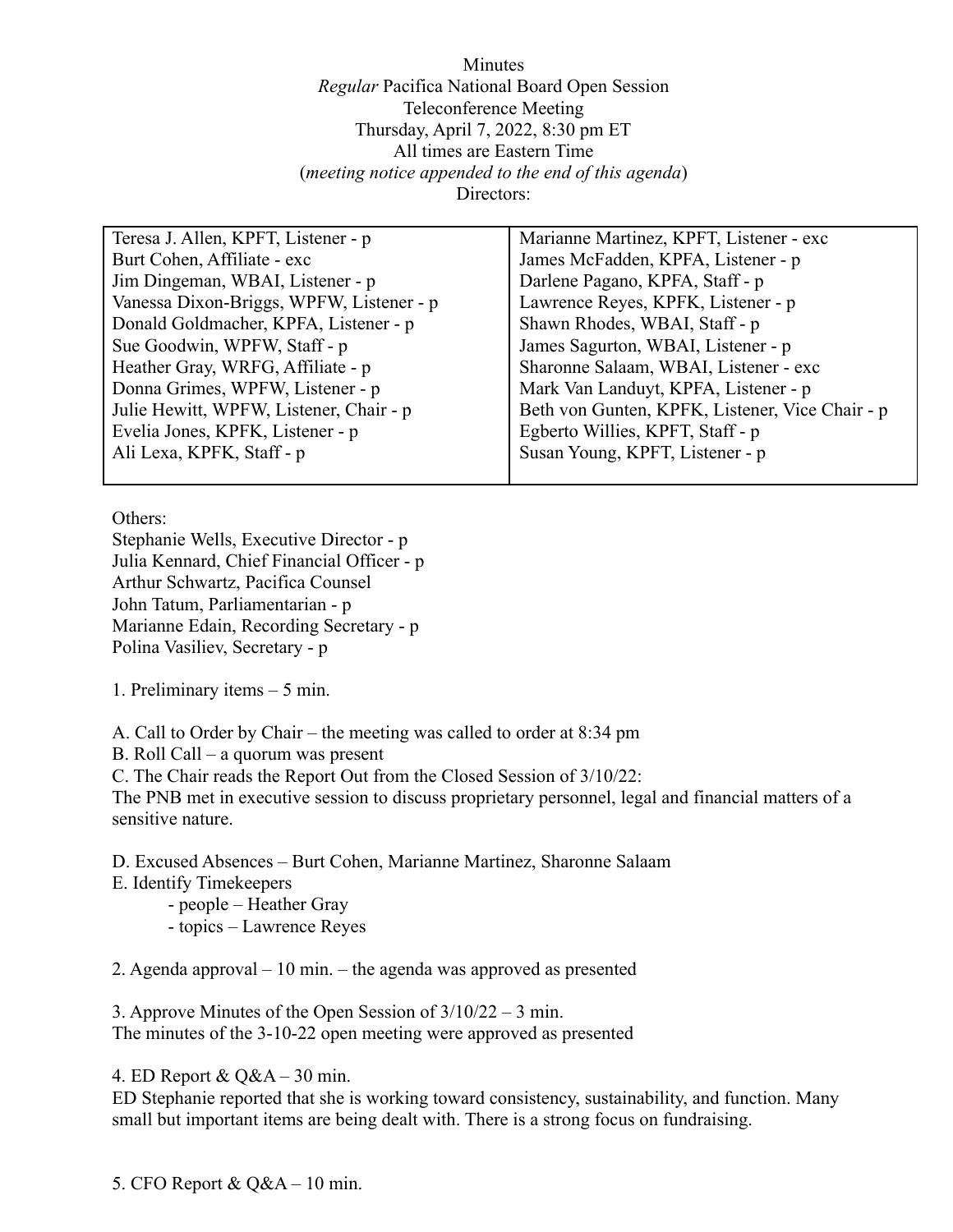Minutes *Regular* Pacifica National Board Open Session Teleconference Meeting Thursday, April 7, 2022, 8:30 pm ET All times are Eastern Time (*meeting notice appended to the end of this agenda*) Directors:

| Teresa J. Allen, KPFT, Listener - p      | Marianne Martinez, KPFT, Listener - exc         |
|------------------------------------------|-------------------------------------------------|
| Burt Cohen, Affiliate - exc              | James McFadden, KPFA, Listener - p              |
| Jim Dingeman, WBAI, Listener - p         | Darlene Pagano, KPFA, Staff - p                 |
| Vanessa Dixon-Briggs, WPFW, Listener - p | Lawrence Reyes, KPFK, Listener - p              |
| Donald Goldmacher, KPFA, Listener - p    | Shawn Rhodes, WBAI, Staff - p                   |
| Sue Goodwin, WPFW, Staff - p             | James Sagurton, WBAI, Listener - p              |
| Heather Gray, WRFG, Affiliate - p        | Sharonne Salaam, WBAI, Listener - exc           |
| Donna Grimes, WPFW, Listener - p         | Mark Van Landuyt, KPFA, Listener - p            |
| Julie Hewitt, WPFW, Listener, Chair - p  | Beth von Gunten, KPFK, Listener, Vice Chair - p |
| Evelia Jones, KPFK, Listener - p         | Egberto Willies, KPFT, Staff - p                |
| Ali Lexa, KPFK, Staff - p                | Susan Young, KPFT, Listener - p                 |

Others:

Stephanie Wells, Executive Director - p Julia Kennard, Chief Financial Officer - p Arthur Schwartz, Pacifica Counsel John Tatum, Parliamentarian - p Marianne Edain, Recording Secretary - p Polina Vasiliev, Secretary - p

1. Preliminary items – 5 min.

A. Call to Order by Chair – the meeting was called to order at 8:34 pm

B. Roll Call – a quorum was present

C. The Chair reads the Report Out from the Closed Session of 3/10/22:

The PNB met in executive session to discuss proprietary personnel, legal and financial matters of a sensitive nature.

D. Excused Absences – Burt Cohen, Marianne Martinez, Sharonne Salaam

- E. Identify Timekeepers
	- people Heather Gray
	- topics Lawrence Reyes

2. Agenda approval – 10 min. – the agenda was approved as presented

3. Approve Minutes of the Open Session of 3/10/22 – 3 min.

The minutes of the 3-10-22 open meeting were approved as presented

4. ED Report & Q&A – 30 min.

ED Stephanie reported that she is working toward consistency, sustainability, and function. Many small but important items are being dealt with. There is a strong focus on fundraising.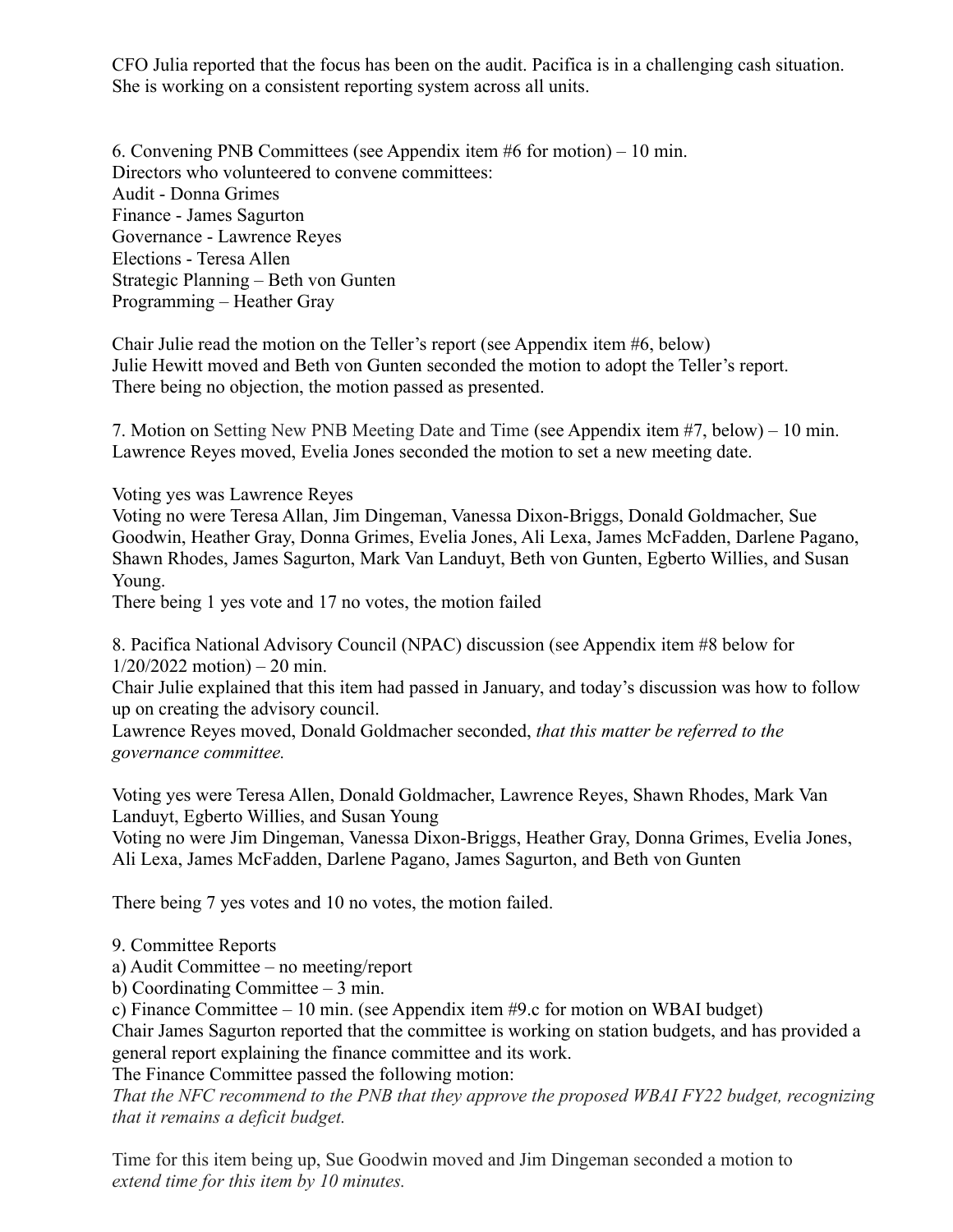CFO Julia reported that the focus has been on the audit. Pacifica is in a challenging cash situation. She is working on a consistent reporting system across all units.

6. Convening PNB Committees (see Appendix item #6 for motion) – 10 min. Directors who volunteered to convene committees: Audit - Donna Grimes Finance - James Sagurton Governance - Lawrence Reyes Elections - Teresa Allen Strategic Planning – Beth von Gunten Programming – Heather Gray

Chair Julie read the motion on the Teller's report (see Appendix item #6, below) Julie Hewitt moved and Beth von Gunten seconded the motion to adopt the Teller's report. There being no objection, the motion passed as presented.

7. Motion on Setting New PNB Meeting Date and Time (see Appendix item #7, below) – 10 min. Lawrence Reyes moved, Evelia Jones seconded the motion to set a new meeting date.

Voting yes was Lawrence Reyes

Voting no were Teresa Allan, Jim Dingeman, Vanessa Dixon-Briggs, Donald Goldmacher, Sue Goodwin, Heather Gray, Donna Grimes, Evelia Jones, Ali Lexa, James McFadden, Darlene Pagano, Shawn Rhodes, James Sagurton, Mark Van Landuyt, Beth von Gunten, Egberto Willies, and Susan Young.

There being 1 yes vote and 17 no votes, the motion failed

8. Pacifica National Advisory Council (NPAC) discussion (see Appendix item #8 below for  $1/20/2022$  motion) – 20 min.

Chair Julie explained that this item had passed in January, and today's discussion was how to follow up on creating the advisory council.

Lawrence Reyes moved, Donald Goldmacher seconded, *that this matter be referred to the governance committee.*

Voting yes were Teresa Allen, Donald Goldmacher, Lawrence Reyes, Shawn Rhodes, Mark Van Landuyt, Egberto Willies, and Susan Young

Voting no were Jim Dingeman, Vanessa Dixon-Briggs, Heather Gray, Donna Grimes, Evelia Jones, Ali Lexa, James McFadden, Darlene Pagano, James Sagurton, and Beth von Gunten

There being 7 yes votes and 10 no votes, the motion failed.

9. Committee Reports

a) Audit Committee – no meeting/report

b) Coordinating Committee – 3 min.

c) Finance Committee – 10 min. (see Appendix item #9.c for motion on WBAI budget)

Chair James Sagurton reported that the committee is working on station budgets, and has provided a general report explaining the finance committee and its work.

The Finance Committee passed the following motion:

*That the NFC recommend to the PNB that they approve the proposed WBAI FY22 budget, recognizing that it remains a deficit budget.*

Time for this item being up, Sue Goodwin moved and Jim Dingeman seconded a motion to *extend time for this item by 10 minutes.*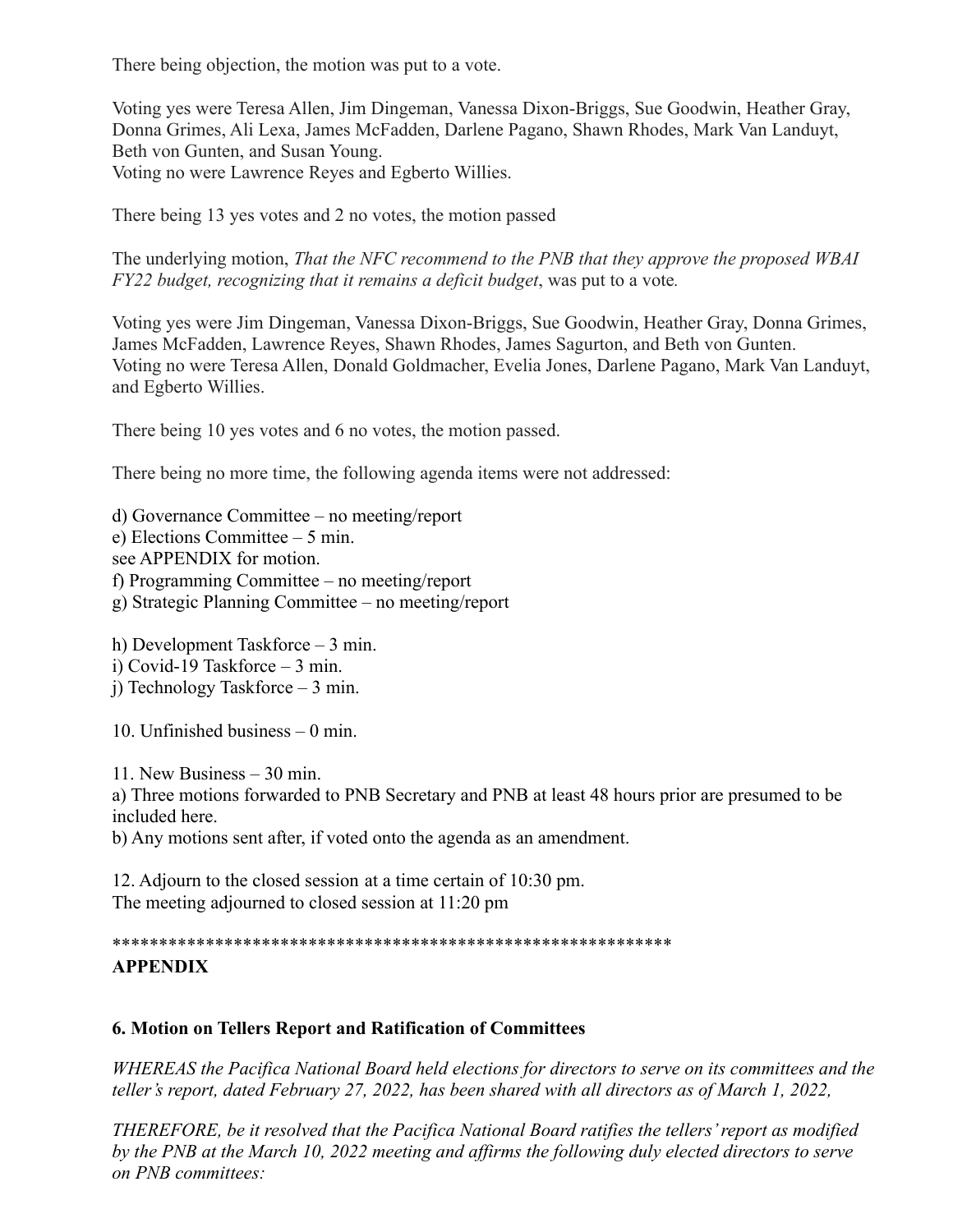There being objection, the motion was put to a vote.

Voting yes were Teresa Allen, Jim Dingeman, Vanessa Dixon-Briggs, Sue Goodwin, Heather Gray, Donna Grimes, Ali Lexa, James McFadden, Darlene Pagano, Shawn Rhodes, Mark Van Landuyt, Beth von Gunten, and Susan Young. Voting no were Lawrence Reyes and Egberto Willies.

There being 13 yes votes and 2 no votes, the motion passed

The underlying motion, *That the NFC recommend to the PNB that they approve the proposed WBAI FY22 budget, recognizing that it remains a deficit budget*, was put to a vote*.*

Voting yes were Jim Dingeman, Vanessa Dixon-Briggs, Sue Goodwin, Heather Gray, Donna Grimes, James McFadden, Lawrence Reyes, Shawn Rhodes, James Sagurton, and Beth von Gunten. Voting no were Teresa Allen, Donald Goldmacher, Evelia Jones, Darlene Pagano, Mark Van Landuyt, and Egberto Willies.

There being 10 yes votes and 6 no votes, the motion passed.

There being no more time, the following agenda items were not addressed:

d) Governance Committee – no meeting/report e) Elections Committee – 5 min. see APPENDIX for motion. f) Programming Committee – no meeting/report g) Strategic Planning Committee – no meeting/report

h) Development Taskforce – 3 min. i) Covid-19 Taskforce – 3 min. j) Technology Taskforce – 3 min.

10. Unfinished business – 0 min.

11. New Business – 30 min. a) Three motions forwarded to PNB Secretary and PNB at least 48 hours prior are presumed to be included here.

b) Any motions sent after, if voted onto the agenda as an amendment.

12. Adjourn to the closed session at a time certain of 10:30 pm. The meeting adjourned to closed session at 11:20 pm

\*\*\*\*\*\*\*\*\*\*\*\*\*\*\*\*\*\*\*\*\*\*\*\*\*\*\*\*\*\*\*\*\*\*\*\*\*\*\*\*\*\*\*\*\*\*\*\*\*\*\*\*\*\*\*\*\*\*\*\*

# **APPENDIX**

### **6. Motion on Tellers Report and Ratification of Committees**

*WHEREAS the Pacifica National Board held elections for directors to serve on its committees and the teller's report, dated February 27, 2022, has been shared with all directors as of March 1, 2022,*

*THEREFORE, be it resolved that the Pacifica National Board ratifies the tellers' report as modified by the PNB at the March 10, 2022 meeting and affirms the following duly elected directors to serve on PNB committees:*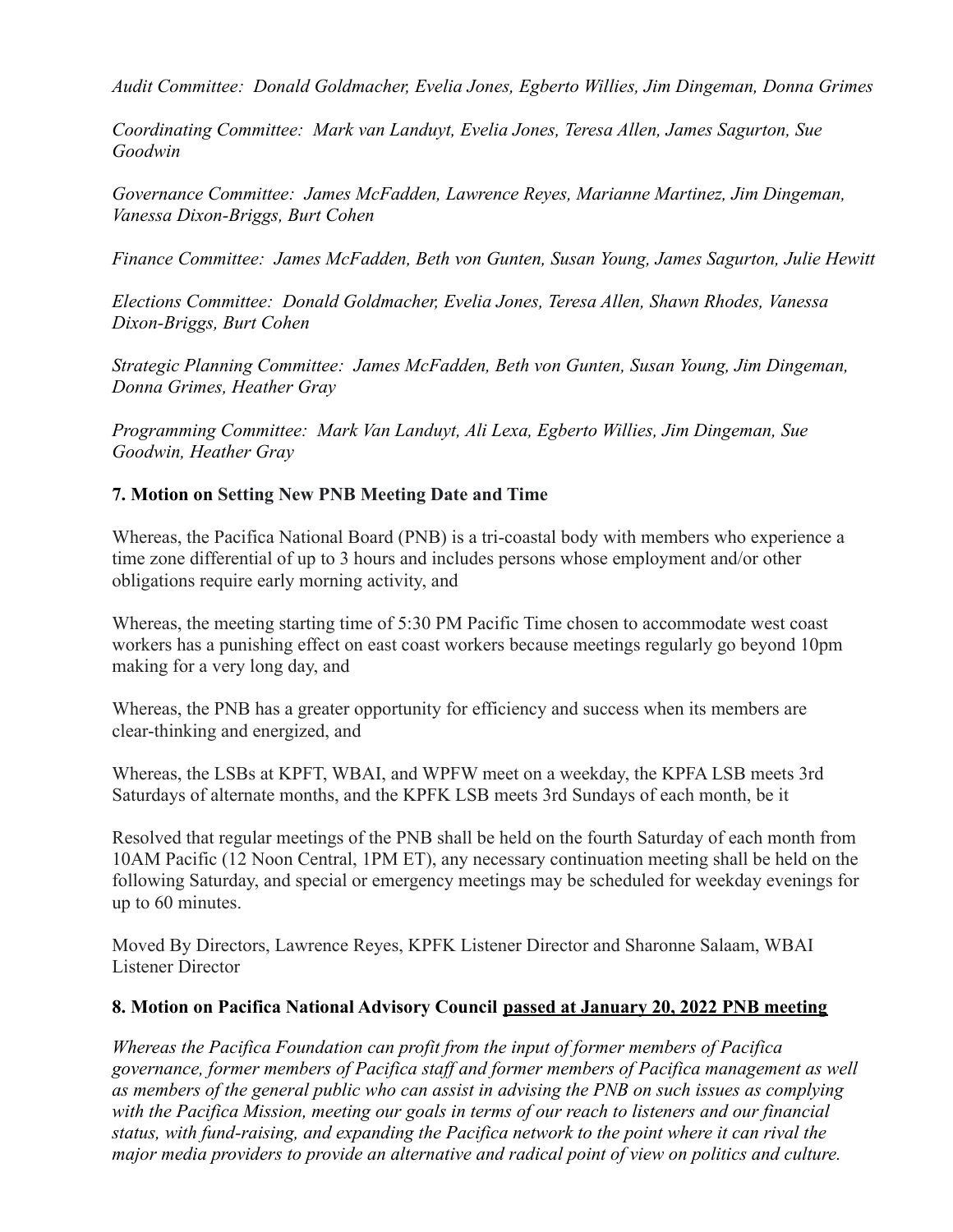*Audit Committee: Donald Goldmacher, Evelia Jones, Egberto Willies, Jim Dingeman, Donna Grimes*

*Coordinating Committee: Mark van Landuyt, Evelia Jones, Teresa Allen, James Sagurton, Sue Goodwin*

*Governance Committee: James McFadden, Lawrence Reyes, Marianne Martinez, Jim Dingeman, Vanessa Dixon-Briggs, Burt Cohen*

*Finance Committee: James McFadden, Beth von Gunten, Susan Young, James Sagurton, Julie Hewitt*

*Elections Committee: Donald Goldmacher, Evelia Jones, Teresa Allen, Shawn Rhodes, Vanessa Dixon-Briggs, Burt Cohen*

*Strategic Planning Committee: James McFadden, Beth von Gunten, Susan Young, Jim Dingeman, Donna Grimes, Heather Gray*

*Programming Committee: Mark Van Landuyt, Ali Lexa, Egberto Willies, Jim Dingeman, Sue Goodwin, Heather Gray*

### **7. Motion on Setting New PNB Meeting Date and Time**

Whereas, the Pacifica National Board (PNB) is a tri-coastal body with members who experience a time zone differential of up to 3 hours and includes persons whose employment and/or other obligations require early morning activity, and

Whereas, the meeting starting time of 5:30 PM Pacific Time chosen to accommodate west coast workers has a punishing effect on east coast workers because meetings regularly go beyond 10pm making for a very long day, and

Whereas, the PNB has a greater opportunity for efficiency and success when its members are clear-thinking and energized, and

Whereas, the LSBs at KPFT, WBAI, and WPFW meet on a weekday, the KPFA LSB meets 3rd Saturdays of alternate months, and the KPFK LSB meets 3rd Sundays of each month, be it

Resolved that regular meetings of the PNB shall be held on the fourth Saturday of each month from 10AM Pacific (12 Noon Central, 1PM ET), any necessary continuation meeting shall be held on the following Saturday, and special or emergency meetings may be scheduled for weekday evenings for up to 60 minutes.

Moved By Directors, Lawrence Reyes, KPFK Listener Director and Sharonne Salaam, WBAI Listener Director

#### **8. Motion on Pacifica National Advisory Council passed at January 20, 2022 PNB meeting**

*Whereas the Pacifica Foundation can profit from the input of former members of Pacifica governance, former members of Pacifica staff and former members of Pacifica management as well as members of the general public who can assist in advising the PNB on such issues as complying with the Pacifica Mission, meeting our goals in terms of our reach to listeners and our financial status, with fund-raising, and expanding the Pacifica network to the point where it can rival the major media providers to provide an alternative and radical point of view on politics and culture.*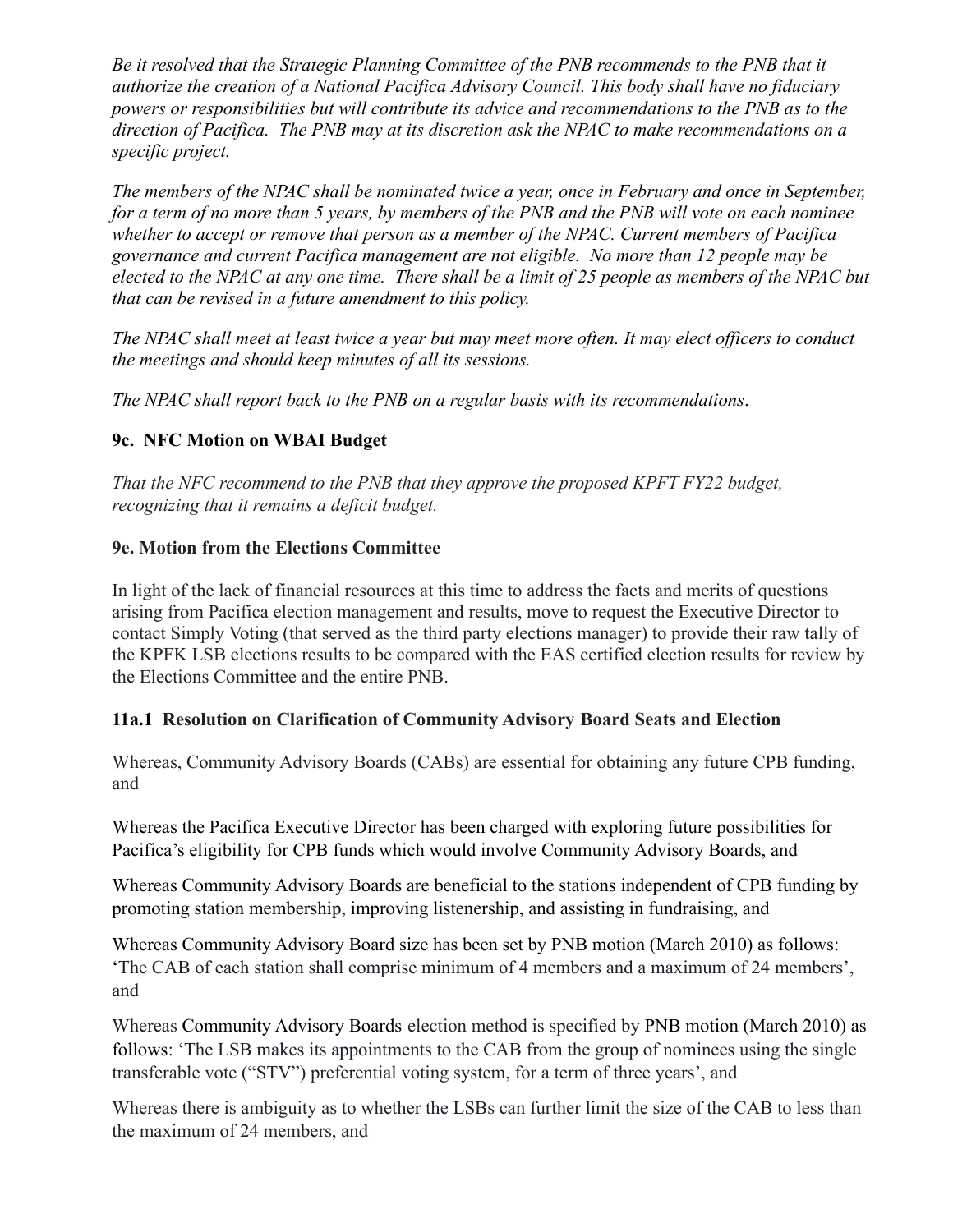*Be it resolved that the Strategic Planning Committee of the PNB recommends to the PNB that it authorize the creation of a National Pacifica Advisory Council. This body shall have no fiduciary powers or responsibilities but will contribute its advice and recommendations to the PNB as to the direction of Pacifica. The PNB may at its discretion ask the NPAC to make recommendations on a specific project.*

*The members of the NPAC shall be nominated twice a year, once in February and once in September, for a term of no more than 5 years, by members of the PNB and the PNB will vote on each nominee whether to accept or remove that person as a member of the NPAC. Current members of Pacifica governance and current Pacifica management are not eligible. No more than 12 people may be elected to the NPAC at any one time. There shall be a limit of 25 people as members of the NPAC but that can be revised in a future amendment to this policy.*

*The NPAC shall meet at least twice a year but may meet more often. It may elect officers to conduct the meetings and should keep minutes of all its sessions.*

*The NPAC shall report back to the PNB on a regular basis with its recommendations*.

# **9c. NFC Motion on WBAI Budget**

*That the NFC recommend to the PNB that they approve the proposed KPFT FY22 budget, recognizing that it remains a deficit budget.*

## **9e. Motion from the Elections Committee**

In light of the lack of financial resources at this time to address the facts and merits of questions arising from Pacifica election management and results, move to request the Executive Director to contact Simply Voting (that served as the third party elections manager) to provide their raw tally of the KPFK LSB elections results to be compared with the EAS certified election results for review by the Elections Committee and the entire PNB.

### **11a.1 Resolution on Clarification of Community Advisory Board Seats and Election**

Whereas, Community Advisory Boards (CABs) are essential for obtaining any future CPB funding, and

Whereas the Pacifica Executive Director has been charged with exploring future possibilities for Pacifica's eligibility for CPB funds which would involve Community Advisory Boards, and

Whereas Community Advisory Boards are beneficial to the stations independent of CPB funding by promoting station membership, improving listenership, and assisting in fundraising, and

Whereas Community Advisory Board size has been set by PNB motion (March 2010) as follows: 'The CAB of each station shall comprise minimum of 4 members and a maximum of 24 members', and

Whereas Community Advisory Boards election method is specified by PNB motion (March 2010) as follows: 'The LSB makes its appointments to the CAB from the group of nominees using the single transferable vote ("STV") preferential voting system, for a term of three years', and

Whereas there is ambiguity as to whether the LSBs can further limit the size of the CAB to less than the maximum of 24 members, and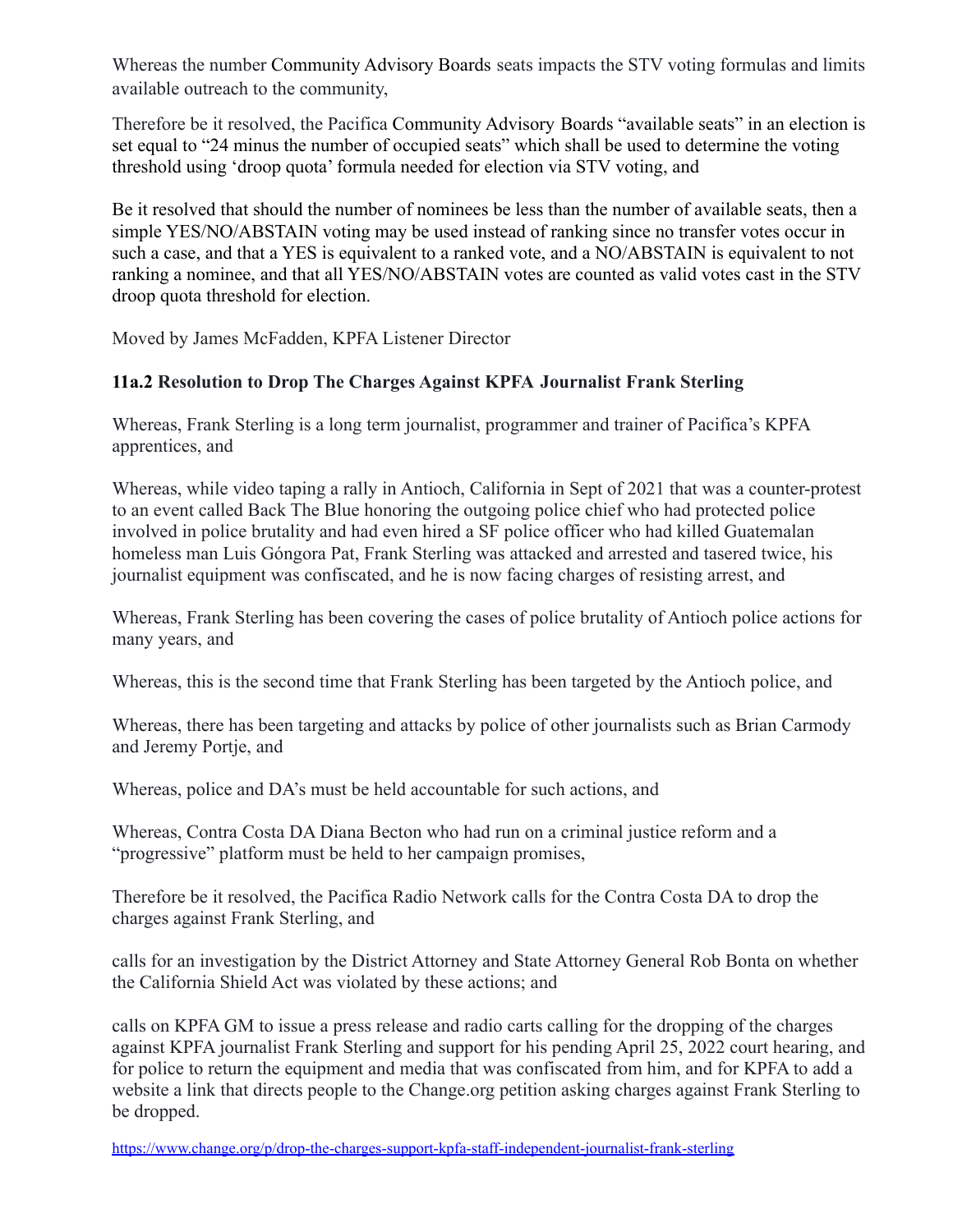Whereas the number Community Advisory Boards seats impacts the STV voting formulas and limits available outreach to the community,

Therefore be it resolved, the Pacifica Community Advisory Boards "available seats" in an election is set equal to "24 minus the number of occupied seats" which shall be used to determine the voting threshold using 'droop quota' formula needed for election via STV voting, and

Be it resolved that should the number of nominees be less than the number of available seats, then a simple YES/NO/ABSTAIN voting may be used instead of ranking since no transfer votes occur in such a case, and that a YES is equivalent to a ranked vote, and a NO/ABSTAIN is equivalent to not ranking a nominee, and that all YES/NO/ABSTAIN votes are counted as valid votes cast in the STV droop quota threshold for election.

Moved by James McFadden, KPFA Listener Director

### **11a.2 Resolution to Drop The Charges Against KPFA Journalist Frank Sterling**

Whereas, Frank Sterling is a long term journalist, programmer and trainer of Pacifica's KPFA apprentices, and

Whereas, while video taping a rally in Antioch, California in Sept of 2021 that was a counter-protest to an event called Back The Blue honoring the outgoing police chief who had protected police involved in police brutality and had even hired a SF police officer who had killed Guatemalan homeless man Luis Góngora Pat, Frank Sterling was attacked and arrested and tasered twice, his journalist equipment was confiscated, and he is now facing charges of resisting arrest, and

Whereas, Frank Sterling has been covering the cases of police brutality of Antioch police actions for many years, and

Whereas, this is the second time that Frank Sterling has been targeted by the Antioch police, and

Whereas, there has been targeting and attacks by police of other journalists such as Brian Carmody and Jeremy Portje, and

Whereas, police and DA's must be held accountable for such actions, and

Whereas, Contra Costa DA Diana Becton who had run on a criminal justice reform and a "progressive" platform must be held to her campaign promises,

Therefore be it resolved, the Pacifica Radio Network calls for the Contra Costa DA to drop the charges against Frank Sterling, and

calls for an investigation by the District Attorney and State Attorney General Rob Bonta on whether the California Shield Act was violated by these actions; and

calls on KPFA GM to issue a press release and radio carts calling for the dropping of the charges against KPFA journalist Frank Sterling and support for his pending April 25, 2022 court hearing, and for police to return the equipment and media that was confiscated from him, and for KPFA to add a website a link that directs people to the Change.org petition asking charges against Frank Sterling to be dropped.